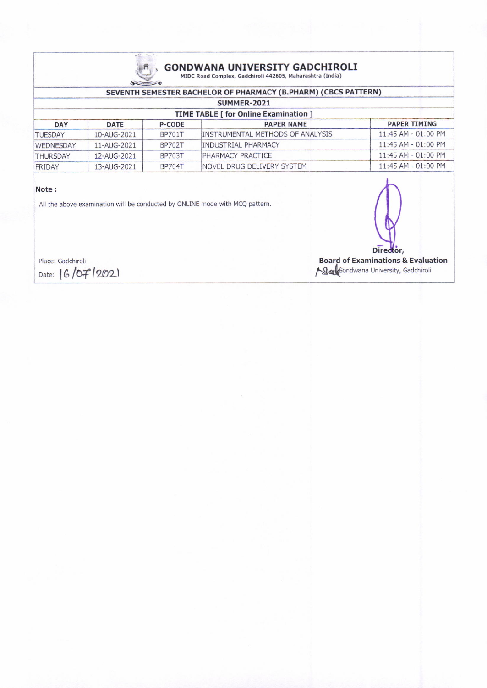

# $\underbrace{\bar{\bar{\mathsf{n}}}}_{\text{MDC Road Complex, Gaddchiroli 442605, Maharashtra (India)}}$

### SEVENTH SEMESTER BACHELOR OF PHARMACY (B.PHARM) (CBCS PATTERN)

| SUMMER-2021<br><b>TIME TABLE [ for Online Examination ]</b> |             |               |                                         |                       |  |
|-------------------------------------------------------------|-------------|---------------|-----------------------------------------|-----------------------|--|
|                                                             |             |               |                                         |                       |  |
| <b>TUESDAY</b>                                              | 10-AUG-2021 | <b>BP701T</b> | <b>INSTRUMENTAL METHODS OF ANALYSIS</b> | $11:45$ AM - 01:00 PM |  |
| <b>WEDNESDAY</b>                                            | 11-AUG-2021 | <b>BP702T</b> | <b>INDUSTRIAL PHARMACY</b>              | $11:45$ AM - 01:00 PM |  |
| <b>THURSDAY</b>                                             | 12-AUG-2021 | <b>BP703T</b> | <b>PHARMACY PRACTICE</b>                | $11:45$ AM - 01:00 PM |  |
| FRIDAY                                                      | 13-AUG-2021 | <b>BP704T</b> | INOVEL DRUG DELIVERY SYSTEM             | $11:45$ AM - 01:00 PM |  |

#### Note:

All the above examination will be conducted by ONLINE mode with MCQ pattern.

Place: Gadchiroli Date: 16/07/2021 Director,

**Board of Examinations & Evaluation** Salfondwana University, Gadchiroli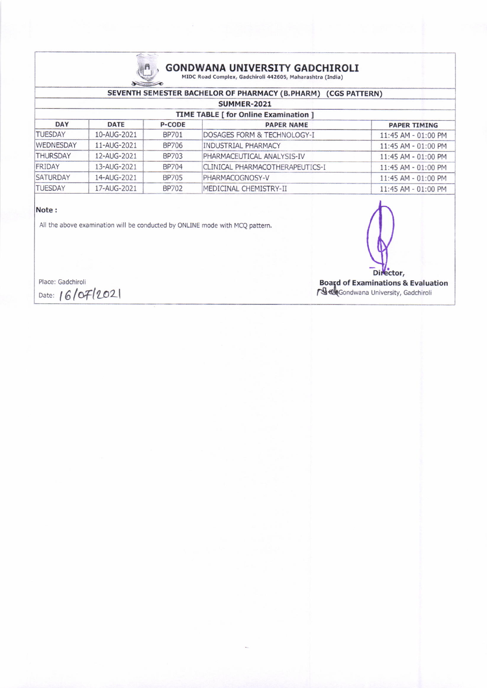

# GONDWANA UNIVERSITY GADCHIROLI<br>MIDC Road Complex, Gadchiroli 442605, Maharashtra (India)

## SEVENTH SEMESTER BACHEIOR OF PHARMACY (B.PHARM) (CGS PATTERN)

| SUMMER-2021                                  |             |               |                                         |                         |  |  |
|----------------------------------------------|-------------|---------------|-----------------------------------------|-------------------------|--|--|
| <b>TIME TABLE [ for Online Examination ]</b> |             |               |                                         |                         |  |  |
| <b>DAY</b>                                   | <b>DATE</b> | <b>P-CODE</b> | <b>PAPER NAME</b>                       | <b>PAPER TIMING</b>     |  |  |
| <b>TUESDAY</b>                               | 10-AUG-2021 | <b>BP701</b>  | <b>IDOSAGES FORM &amp; TECHNOLOGY-I</b> | $11:45$ AM - 01:00 PM   |  |  |
| <b>WEDNESDAY</b>                             | 11-AUG-2021 | BP706         | INDUSTRIAL PHARMACY                     | $11:45$ AM - 01:00 PM   |  |  |
| <b>THURSDAY</b>                              | 12-AUG-2021 | <b>BP703</b>  | PHARMACEUTICAL ANALYSIS-IV              | $11:45$ AM - $01:00$ PM |  |  |
| FRIDAY                                       | 13-AUG-2021 | <b>BP704</b>  | CLINICAL PHARMACOTHERAPEUTICS-I         | $11:45$ AM - 01:00 PM   |  |  |
| <b>SATURDAY</b>                              | 14-AUG-2021 | <b>BP705</b>  | PHARMACOGNOSY-V                         | $11:45$ AM - $01:00$ PM |  |  |
| <b>TUESDAY</b>                               | 17-AUG-2021 | <b>BP702</b>  | MEDICINAL CHEMISTRY-II                  | $11:45$ AM - 01:00 PM   |  |  |

#### Note:

All the above examination will be conducted by ONLINE mode with MCQ pattem.



Place: Gadchiroli Date: 16/07/2021

Boafd of Examinations & Evaluation **/ গুৰ্জ্য G**ondwana University, Gadchirol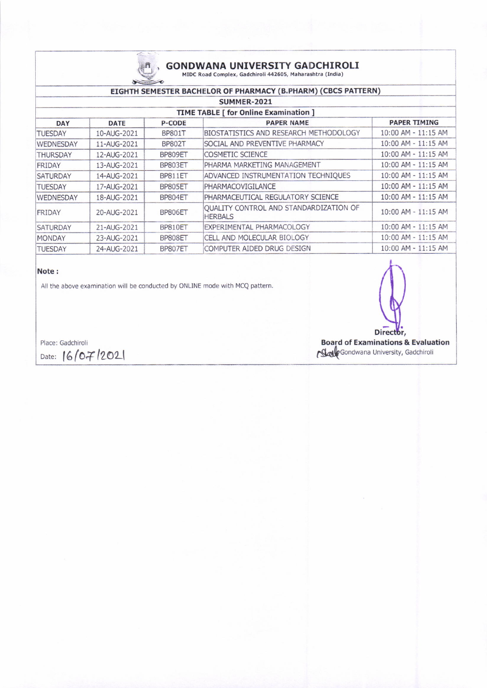

# GONDWANA UNIVERSITY GADCHIROLI<br>MIDC Road Complex, Gadchiroli 442605, Maharashtra (India)

| EIGHTH SEMESTER BACHELOR OF PHARMACY (B.PHARM) (CBCS PATTERN) |             |               |                                                          |                         |  |  |
|---------------------------------------------------------------|-------------|---------------|----------------------------------------------------------|-------------------------|--|--|
| SUMMER-2021<br><b>TIME TABLE [ for Online Examination ]</b>   |             |               |                                                          |                         |  |  |
|                                                               |             |               |                                                          |                         |  |  |
| <b>TUESDAY</b>                                                | 10-AUG-2021 | <b>BP801T</b> | <b>BIOSTATISTICS AND RESEARCH METHODOLOGY</b>            | 10:00 AM - 11:15 AM     |  |  |
| WEDNESDAY                                                     | 11-AUG-2021 | <b>BP802T</b> | SOCIAL AND PREVENTIVE PHARMACY                           | $10:00$ AM - $11:15$ AM |  |  |
| <b>THURSDAY</b>                                               | 12-AUG-2021 | BP809ET       | <b>COSMETIC SCIENCE</b>                                  | $10:00$ AM - $11:15$ AM |  |  |
| <b>FRIDAY</b>                                                 | 13-AUG-2021 | BP803ET       | PHARMA MARKETING MANAGEMENT                              | 10:00 AM - 11:15 AM     |  |  |
| <b>SATURDAY</b>                                               | 14-AUG-2021 | BP811ET       | ADVANCED INSTRUMENTATION TECHNIQUES                      | $10:00$ AM - $11:15$ AM |  |  |
| <b>TUESDAY</b>                                                | 17-AUG-2021 | BP805ET       | PHARMACOVIGILANCE                                        | 10:00 AM - 11:15 AM     |  |  |
| WEDNESDAY                                                     | 18-AUG-2021 | BP804ET       | PHARMACEUTICAL REGULATORY SCIENCE                        | $10:00$ AM - $11:15$ AM |  |  |
| <b>FRIDAY</b>                                                 | 20-AUG-2021 | BP806ET       | QUALITY CONTROL AND STANDARDIZATION OF<br><b>HERBALS</b> | $10:00$ AM - $11:15$ AM |  |  |
| <b>SATURDAY</b>                                               | 21-AUG-2021 | BP810ET       | EXPERIMENTAL PHARMACOLOGY                                | 10:00 AM - 11:15 AM     |  |  |
| <b>MONDAY</b>                                                 | 23-AUG-2021 | BP808ET       | CELL AND MOLECULAR BIOLOGY                               | $10:00$ AM - $11:15$ AM |  |  |
| <b>TUESDAY</b>                                                | 24-AUG-2021 | BP807ET       | COMPUTER AIDED DRUG DESIGN                               | $10:00$ AM - $11:15$ AM |  |  |

#### Note i

All the above examination will be conducted by ONLINE mode with MCQ pattern.

Place: Gadchiroli Date:  $16/07/202$ 

Director, Eoard of Examinations & Evaluation Sale Gondwana University, Gadchiroli